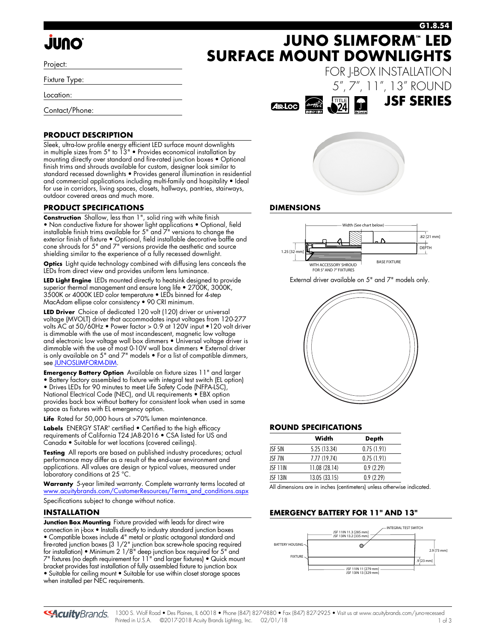# **JUNO**

Project:

Fixture Type:

Location:

Contact/Phone:

### **PRODUCT DESCRIPTION**

Sleek, ultra-low profile energy efficient LED surface mount downlights in multiple sizes from 5" to 13" • Provides economical installation by mounting directly over standard and fire-rated junction boxes • Optional finish trims and shrouds available for custom, designer look similar to standard recessed downlights • Provides general illumination in residential and commercial applications including multi-family and hospitality • Ideal for use in corridors, living spaces, closets, hallways, pantries, stairways, outdoor covered areas and much more.

### **PRODUCT SPECIFICATIONS**

**Construction** Shallow, less than 1", solid ring with white finish • Non conductive fixture for shower light applications • Optional, field installable finish trims available for 5" and 7" versions to change the exterior finish of fixture • Optional, field installable decorative baffle and cone shrouds for 5" and 7" versions provide the aesthetic and source shielding similar to the experience of a fully recessed downlight.

**Optics** Light quide technology combined with diffusing lens conceals the LEDs from direct view and provides uniform lens luminance.

**LED Light Engine** LEDs mounted directly to heatsink designed to provide superior thermal management and ensure long life • 2700K, 3000K, 3500K or 4000K LED color temperature • LEDs binned for 4-step MacAdam ellipse color consistency • 90 CRI minimum.

**LED Driver** Choice of dedicated 120 volt (120) driver or universal voltage (MVOLT) driver that accommodates input voltages from 120-277 volts AC at 50/60Hz • Power factor > 0.9 at 120V input •120 volt driver is dimmable with the use of most incandescent, magnetic low voltage and electronic low voltage wall box dimmers • Universal voltage driver is dimmable with the use of most 0-10V wall box dimmers • External driver is only available on 5" and 7" models • For a list of compatible dimmers, see [JUNOSLIMFORM-DIM](http://www.acuitybrands.com/shell/-/media/Files/Acuity/Other/JUNOSLIMFORM-DIM.pdf).

**Emergency Battery Option** Available on fixture sizes 11" and larger • Battery factory assembled to fixture with integral test switch (EL option)

• Drives LEDs for 90 minutes to meet Life Safety Code (NFPA-LSC), National Electrical Code (NEC), and UL requirements • EBX option provides back box without battery for consistent look when used in same space as fixtures with EL emergency option.

**Life** Rated for 50,000 hours at >70% lumen maintenance.

**Labels** ENERGY STAR<sup>®</sup> certified • Certified to the high efficacy requirements of California T24 JA8-2016 • CSA listed for US and Canada • Suitable for wet locations (covered ceilings).

**Testing** All reports are based on published industry procedures; actual performance may differ as a result of the end-user environment and applications. All values are design or typical values, measured under laboratory conditions at 25 °C.

**Warranty** 5-year limited warranty. Complete warranty terms located at [www.acuitybrands.com/CustomerResources/Terms\\_and\\_conditions.aspx](www.acuitybrands.com/CustomerResources/Terms_and_conditions.aspx)

Specifications subject to change without notice.

### **INSTALLATION**

**Junction Box Mounting** Fixture provided with leads for direct wire connection in j-box • Installs directly to industry standard junction boxes • Compatible boxes include 4" metal or plastic octagonal standard and fire-rated junction boxes (3 1/2" junction box screw-hole spacing required for installation) • Minimum 2 1/8" deep junction box required for 5" and 7" fixtures (no depth requirement for 11" and larger fixtures) • Quick mount bracket provides fast installation of fully assembled fixture to junction box • Suitable for ceiling mount • Suitable for use within closet storage spaces when installed per NEC requirements.



**SURFACE MOUNT DOWNLIGHTS**



### **DIMENSIONS**



External driver available on 5" and 7" models only.



### **ROUND SPECIFICATIONS**

|          | Width         | <b>Depth</b> |
|----------|---------------|--------------|
| JSF 51N  | 5.25 (13.34)  | 0.75(1.91)   |
| ISF 7IN  | 7.77 (19.74)  | 0.75(1.91)   |
| JSF 11IN | 11.08 (28.14) | 0.9(2.29)    |
| ISE 13IN | 13.05(33.15)  | 0.9(2.29)    |

All dimensions are in inches (centimeters) unless otherwise indicated.

### **EMERGENCY BATTERY FOR 11" AND 13"**



**JUNO SLIMFORM™ LED G1.8.54**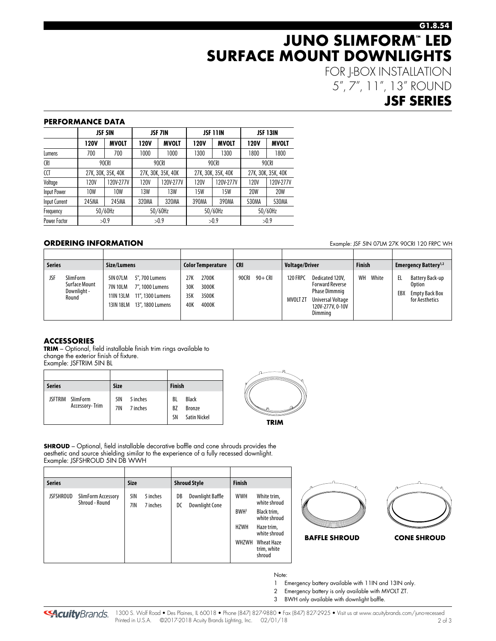### **G1.8.54**

## **JUNO SLIMFORM™ LED SURFACE MOUNT DOWNLIGHTS**

FOR J-BOX INSTALLATION 5", 7", 11", 13" ROUND

### **JSF SERIES**

#### **PERFORMANCE DATA**

|               |       | <b>JSF 5IN</b>     |       | <b>JSF 7IN</b>     |             | <b>JSF 11IN</b>    |             | <b>JSF 13IN</b>    |  |  |
|---------------|-------|--------------------|-------|--------------------|-------------|--------------------|-------------|--------------------|--|--|
|               | 120V  | <b>MVOLT</b>       | 120V  | <b>MVOLT</b>       | <b>120V</b> | <b>MVOLT</b>       | <b>120V</b> | <b>MVOLT</b>       |  |  |
| Lumens        | 700   | 700                | 1000  | 1000               | 1300        | 1300               | 1800        | 1800               |  |  |
| <b>CRI</b>    |       | 90CRI              |       | 90CRI              |             | 90CRI              | 90CRI       |                    |  |  |
| CCT           |       | 27K, 30K, 35K, 40K |       | 27K, 30K, 35K, 40K |             | 27K, 30K, 35K, 40K |             | 27K, 30K, 35K, 40K |  |  |
| Voltage       | 120V  | 120V-277V          | 120V  | 120V-277V          | 120V        | 120V-277V          | 120V        | 120V-277V          |  |  |
| Input Power   | 10W   | 10W                | 13W   | 13W                | 15W         | 15W                | <b>20W</b>  | <b>20W</b>         |  |  |
| Input Current | 245MA | 245MA              | 320MA | 320MA              | 390MA       | 390MA              | 530MA       | 530MA              |  |  |
| Frequency     |       | 50/60Hz            |       | 50/60Hz            |             | 50/60Hz            |             | 50/60Hz            |  |  |
| Power Factor  |       | >0.9               |       | >0.9               |             | >0.9               |             | >0.9               |  |  |

### **ORDERING INFORMATION Example: JSF 5IN 07LM 27K 90CRI 120 FRPC WH**

**Series Size/Lumens Color Temperature CRI Voltage/Driver Finish Emergency Battery1,2** JSF SlimForm Surface Mount Downlight - Round 5IN 07LM 5", 700 Lumens 7IN 10LM 7", 1000 Lumens 11IN 13LM 11", 1300 Lumens 13IN 18LM 13", 1800 Lumens 27K 2700K 30K 3000K 35K 3500K 40K 4000K 90CRI 90+ CRI 120 FRPC Dedicated 120V, Forward Reverse Phase Dimmnig MVOLT ZT Universal Voltage 120V-277V, 0-10V Dimming WH White | EL Battery Back-up Option EBX Empty Back Box for Aesthetics

### **ACCESSORIES**

**TRIM** – Optional, field installable finish trim rings available to change the exterior finish of fixture. Example: JSFTRIM 5IN BL

| <b>Series</b> |                                    | <b>Size</b> |                      | <b>Finish</b>         |                                                      |
|---------------|------------------------------------|-------------|----------------------|-----------------------|------------------------------------------------------|
|               | JSFTRIM SlimForm<br>Accessory-Trim | 5IN<br>7IN  | 5 inches<br>7 inches | BL<br><b>BZ</b><br>SN | <b>Black</b><br><b>Bronze</b><br><b>Satin Nickel</b> |



**SHROUD** – Optional, field installable decorative baffle and cone shrouds provides the aesthetic and source shielding similar to the experience of a fully recessed downlight. Example: JSFSHROUD 5IN DB WWH

| <b>Series</b>    |                                      | <b>Size</b> |                      |          | <b>Shroud Style</b>                       | <b>Finish</b>                                          |                                                                                                                                        |  |  |  |
|------------------|--------------------------------------|-------------|----------------------|----------|-------------------------------------------|--------------------------------------------------------|----------------------------------------------------------------------------------------------------------------------------------------|--|--|--|
| <b>JSFSHROUD</b> | SlimForm Accessory<br>Shroud - Round | 5IN<br>7IN  | 5 inches<br>7 inches | DB<br>DC | Downlight Baffle<br><b>Downlight Cone</b> | <b>WWH</b><br>BWH <sup>3</sup><br><b>HZWH</b><br>WHZWH | White trim,<br>white shroud<br>Black trim,<br>white shroud<br>Haze trim,<br>white shroud<br><b>Wheat Haze</b><br>trim, white<br>shroud |  |  |  |



Note:

- 1 Emergency battery available with 11IN and 13IN only.
- 2 Emergency battery is only available with MVOLT ZT.
- 3 BWH only available with downlight baffle.